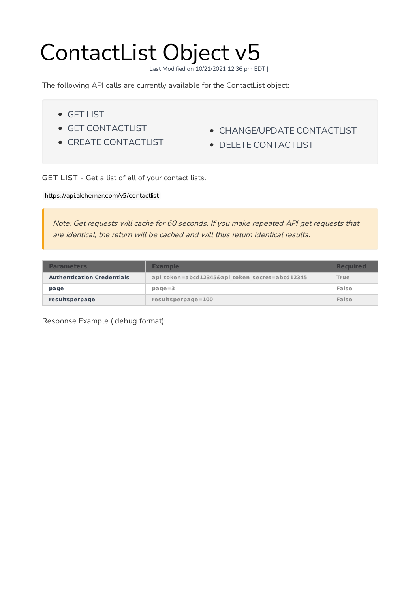# ContactList Object v5

Last Modified on 10/21/2021 12:36 pm EDT |

The following API calls are currently available for the ContactList object:

- GET LIST
- **GET CONTACTLIST**
- CREATE CONTACTLIST
- CHANGE/UPDATE CONTACTLIST
- DELETE CONTACTLIST

GET LIST - Get a list of all of your contact lists.

https://api.alchemer.com/v5/contactlist

Note: Get requests will cache for 60 seconds. If you make repeated API get requests that are identical, the return will be cached and will thus return identical results.

| <b>Parameters</b>                 | <b>Example</b>                                 | <b>Required</b> |
|-----------------------------------|------------------------------------------------|-----------------|
| <b>Authentication Credentials</b> | api token=abcd12345&api token secret=abcd12345 | True            |
| page                              | $page = 3$                                     | False           |
| resultsperpage                    | $results per page = 100$                       | False           |

Response Example (.debug format):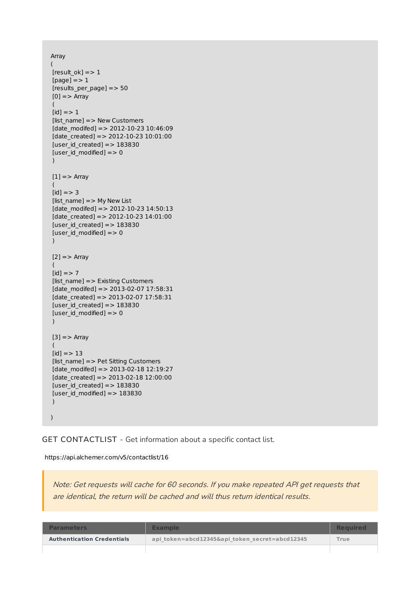```
Array
(
[result_0k] => 1[page] = > 1[results_per_page] => 50
[0] = > Array
 (
[id] = > 1[list_name] => New Customers
[date modifed] => 2012-10-23 10:46:09
[date\ created] = > 2012-10-23 10:01:00[user id created] => 183830[user_id_model] = > 0\lambda[1] = > Array
 (
[id] = > 3[list_name] => My New List
[date_modifed] => 2012-10-23 14:50:13
[date_created] => 2012-10-23 14:01:00
[user id created] => 183830[user id modified] = > 0
)
[2] = > Array
(
(id] => 7
[list_name] => Existing Customers
[date_modifed] => 2013-02-07 17:58:31
[date\ created] = > 2013-02-07\ 17:58:31[user id created] => 183830[user_id_modified] => 0\lambda[3] = > Array
 (
[id] = > 13[list_name] => Pet Sitting Customers
[date modifed] => 2013-02-18 12:19:27
[date_created] => 2013-02-18 12:00:00
[user id created] => 183830[user_id_model] = > 183830)
)
```
# GET CONTACTLIST - Get information about a specific contact list.

#### https://api.alchemer.com/v5/contactlist/16

Note: Get requests will cache for 60 seconds. If you make repeated API get requests that are identical, the return will be cached and will thus return identical results.

| <b>Parameters</b>                 | <b>Example</b>                                 | <b>Required</b>   |
|-----------------------------------|------------------------------------------------|-------------------|
| <b>Authentication Credentials</b> | api token=abcd12345&api token secret=abcd12345 | True <sup>1</sup> |
|                                   |                                                |                   |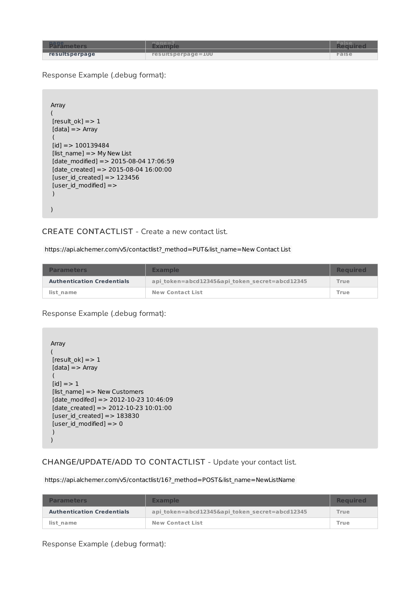| <b>Bage,</b>   |                    |       |
|----------------|--------------------|-------|
| resultsperpage | resultsperpage=100 | False |
|                |                    |       |

Response Example (.debug format):

```
Array
(
[result_0k] = > 1[data] = > Array
 (
[id] = > 100139484
[list_name] => My New List
[date_modified] => 2015-08-04 17:06:59
[date\ created] = > 2015-08-04\ 16:00:00[user_id_created] => 123456[user id modified] = >
)
)
```
### CREATE CONTACTLIST - Create a new contact list.

https://api.alchemer.com/v5/contactlist?\_method=PUT&list\_name=New Contact List

| <b>Parameters</b>                 | <b>Example</b>                                 | <b>Required</b> |
|-----------------------------------|------------------------------------------------|-----------------|
| <b>Authentication Credentials</b> | api token=abcd12345&api token secret=abcd12345 | True            |
| list name                         | <b>New Contact List</b>                        | True            |

Response Example (.debug format):

```
Array
(
[result ok] = > 1
[data] => Array
(
[id] = > 1[list_name] => New Customers
[date_modifed] => 2012-10-23 10:46:09
[date_created] => 2012-10-23 10:01:00
[user_id\_created] => 183830[user_id_model] = > 0)
)
```
# CHANGE/UPDATE/ADD TO CONTACTLIST - Update your contact list.

https://api.alchemer.com/v5/contactlist/16?\_method=POST&list\_name=NewListName

| <b>Parameters</b>                 | <b>Example</b>                                 | <b>Required</b> |
|-----------------------------------|------------------------------------------------|-----------------|
| <b>Authentication Credentials</b> | api token=abcd12345&api token secret=abcd12345 | True.           |
| list name                         | <b>New Contact List</b>                        | True            |

Response Example (.debug format):